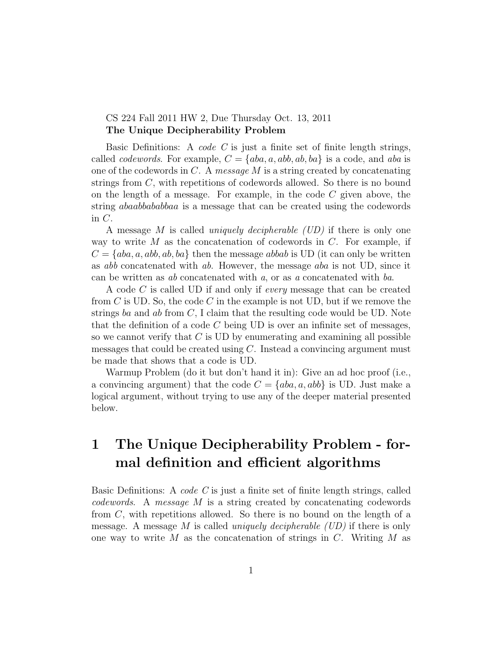### CS 224 Fall 2011 HW 2, Due Thursday Oct. 13, 2011 The Unique Decipherability Problem

Basic Definitions: A code C is just a finite set of finite length strings, called *codewords*. For example,  $C = \{aba, a, abb, ab, ba\}$  is a code, and aba is one of the codewords in C. A message  $M$  is a string created by concatenating strings from C, with repetitions of codewords allowed. So there is no bound on the length of a message. For example, in the code  $C$  given above, the string abaabbababbaa is a message that can be created using the codewords in C.

A message M is called uniquely decipherable (UD) if there is only one way to write  $M$  as the concatenation of codewords in  $C$ . For example, if  $C = \{aba, a, abb, ab, ba\}$  then the message abbab is UD (it can only be written as abb concatenated with ab. However, the message aba is not UD, since it can be written as ab concatenated with a, or as a concatenated with ba.

A code C is called UD if and only if every message that can be created from  $C$  is UD. So, the code  $C$  in the example is not UD, but if we remove the strings ba and ab from  $C$ , I claim that the resulting code would be UD. Note that the definition of a code  $C$  being UD is over an infinite set of messages, so we cannot verify that  $C$  is UD by enumerating and examining all possible messages that could be created using  $C$ . Instead a convincing argument must be made that shows that a code is UD.

Warmup Problem (do it but don't hand it in): Give an ad hoc proof (i.e., a convincing argument) that the code  $C = \{aba, a, abb\}$  is UD. Just make a logical argument, without trying to use any of the deeper material presented below.

## 1 The Unique Decipherability Problem - formal definition and efficient algorithms

Basic Definitions: A code C is just a finite set of finite length strings, called  $codewords$ . A message  $M$  is a string created by concatenating codewords from C, with repetitions allowed. So there is no bound on the length of a message. A message M is called uniquely decipherable  $(UD)$  if there is only one way to write  $M$  as the concatenation of strings in  $C$ . Writing  $M$  as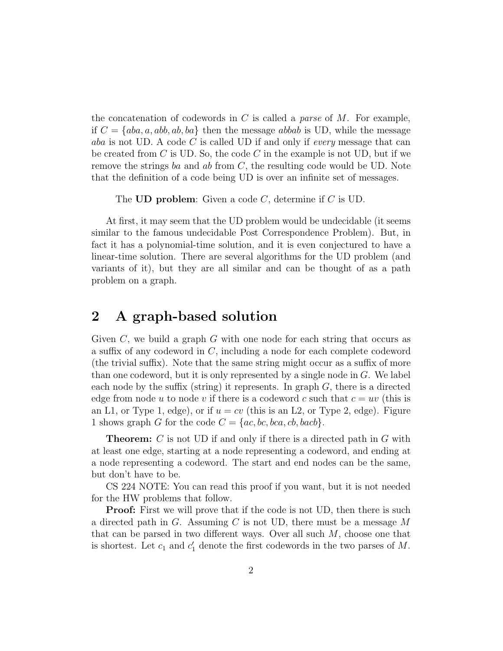the concatenation of codewords in C is called a *parse* of M. For example, if  $C = \{aba, a, abb, ab, ba\}$  then the message abbab is UD, while the message aba is not UD. A code C is called UD if and only if every message that can be created from C is UD. So, the code C in the example is not UD, but if we remove the strings ba and ab from  $C$ , the resulting code would be UD. Note that the definition of a code being UD is over an infinite set of messages.

The UD problem: Given a code  $C$ , determine if  $C$  is UD.

At first, it may seem that the UD problem would be undecidable (it seems similar to the famous undecidable Post Correspondence Problem). But, in fact it has a polynomial-time solution, and it is even conjectured to have a linear-time solution. There are several algorithms for the UD problem (and variants of it), but they are all similar and can be thought of as a path problem on a graph.

### 2 A graph-based solution

Given  $C$ , we build a graph  $G$  with one node for each string that occurs as a suffix of any codeword in C, including a node for each complete codeword (the trivial suffix). Note that the same string might occur as a suffix of more than one codeword, but it is only represented by a single node in  $G$ . We label each node by the suffix (string) it represents. In graph  $G$ , there is a directed edge from node u to node v if there is a codeword c such that  $c = uv$  (this is an L1, or Type 1, edge), or if  $u = cv$  (this is an L2, or Type 2, edge). Figure 1 shows graph G for the code  $C = \{ac, bc, bca, cb, bacb\}.$ 

**Theorem:**  $C$  is not UD if and only if there is a directed path in  $G$  with at least one edge, starting at a node representing a codeword, and ending at a node representing a codeword. The start and end nodes can be the same, but don't have to be.

CS 224 NOTE: You can read this proof if you want, but it is not needed for the HW problems that follow.

**Proof:** First we will prove that if the code is not UD, then there is such a directed path in  $G$ . Assuming  $C$  is not UD, there must be a message  $M$ that can be parsed in two different ways. Over all such  $M$ , choose one that is shortest. Let  $c_1$  and  $c'_1$  denote the first codewords in the two parses of M.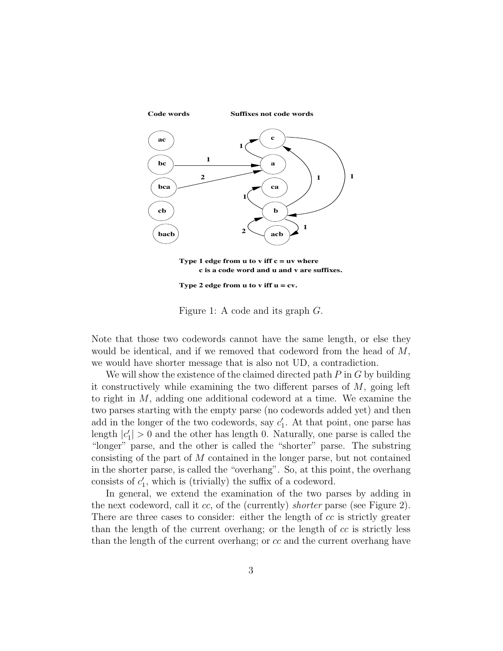

**Type 1 edge from u to v iff c = uv where c is a code word and u and v are suffixes.**

**Type 2 edge from u to v iff u = cv.**

Figure 1: A code and its graph G.

Note that those two codewords cannot have the same length, or else they would be identical, and if we removed that codeword from the head of M, we would have shorter message that is also not UD, a contradiction.

We will show the existence of the claimed directed path  $P$  in  $G$  by building it constructively while examining the two different parses of  $M$ , going left to right in  $M$ , adding one additional codeword at a time. We examine the two parses starting with the empty parse (no codewords added yet) and then add in the longer of the two codewords, say  $c'_1$ . At that point, one parse has length  $|c'_1| > 0$  and the other has length 0. Naturally, one parse is called the "longer" parse, and the other is called the "shorter" parse. The substring consisting of the part of M contained in the longer parse, but not contained in the shorter parse, is called the "overhang". So, at this point, the overhang consists of  $c'_1$ , which is (trivially) the suffix of a codeword.

In general, we extend the examination of the two parses by adding in the next codeword, call it cc, of the (currently) shorter parse (see Figure 2). There are three cases to consider: either the length of cc is strictly greater than the length of the current overhang; or the length of  $cc$  is strictly less than the length of the current overhang; or cc and the current overhang have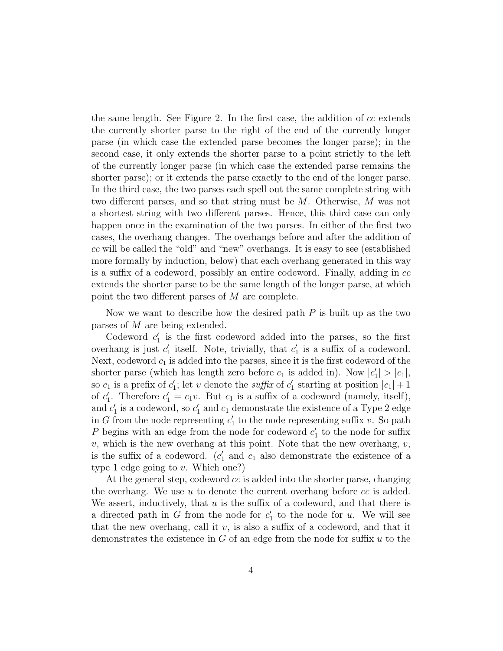the same length. See Figure 2. In the first case, the addition of  $cc$  extends the currently shorter parse to the right of the end of the currently longer parse (in which case the extended parse becomes the longer parse); in the second case, it only extends the shorter parse to a point strictly to the left of the currently longer parse (in which case the extended parse remains the shorter parse); or it extends the parse exactly to the end of the longer parse. In the third case, the two parses each spell out the same complete string with two different parses, and so that string must be M. Otherwise, M was not a shortest string with two different parses. Hence, this third case can only happen once in the examination of the two parses. In either of the first two cases, the overhang changes. The overhangs before and after the addition of cc will be called the "old" and "new" overhangs. It is easy to see (established more formally by induction, below) that each overhang generated in this way is a suffix of a codeword, possibly an entire codeword. Finally, adding in cc extends the shorter parse to be the same length of the longer parse, at which point the two different parses of M are complete.

Now we want to describe how the desired path  $P$  is built up as the two parses of M are being extended.

Codeword  $c_1'$  is the first codeword added into the parses, so the first overhang is just  $c'_1$  itself. Note, trivially, that  $c'_1$  is a suffix of a codeword. Next, codeword  $c_1$  is added into the parses, since it is the first codeword of the shorter parse (which has length zero before  $c_1$  is added in). Now  $|c'_1| > |c_1|$ , so  $c_1$  is a prefix of  $c'_1$ ; let v denote the suffix of  $c'_1$  starting at position  $|c_1|+1$ of  $c'_1$ . Therefore  $c'_1 = c_1v$ . But  $c_1$  is a suffix of a codeword (namely, itself), and  $c'_1$  is a codeword, so  $c'_1$  and  $c_1$  demonstrate the existence of a Type 2 edge in G from the node representing  $c'_1$  to the node representing suffix v. So path P begins with an edge from the node for codeword  $c_1$  to the node for suffix  $v$ , which is the new overhang at this point. Note that the new overhang,  $v$ , is the suffix of a codeword.  $(c'_1 \text{ and } c_1 \text{ also demonstrate the existence of a})$ type 1 edge going to  $v$ . Which one?)

At the general step, codeword  $cc$  is added into the shorter parse, changing the overhang. We use u to denote the current overhang before cc is added. We assert, inductively, that  $u$  is the suffix of a codeword, and that there is a directed path in G from the node for  $c'_1$  to the node for u. We will see that the new overhang, call it  $v$ , is also a suffix of a codeword, and that it demonstrates the existence in  $G$  of an edge from the node for suffix  $u$  to the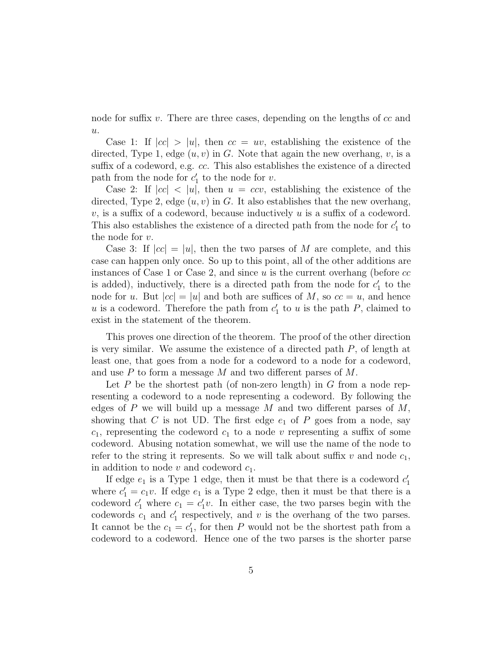node for suffix v. There are three cases, depending on the lengths of cc and  $u$ .

Case 1: If  $|cc| > |u|$ , then  $cc = uv$ , establishing the existence of the directed, Type 1, edge  $(u, v)$  in G. Note that again the new overhang, v, is a suffix of a codeword, e.g. cc. This also establishes the existence of a directed path from the node for  $c'_1$  to the node for  $v$ .

Case 2: If  $|cc| < |u|$ , then  $u = ccv$ , establishing the existence of the directed, Type 2, edge  $(u, v)$  in G. It also establishes that the new overhang,  $v$ , is a suffix of a codeword, because inductively  $u$  is a suffix of a codeword. This also establishes the existence of a directed path from the node for  $c'_1$  to the node for v.

Case 3: If  $|cc| = |u|$ , then the two parses of M are complete, and this case can happen only once. So up to this point, all of the other additions are instances of Case 1 or Case 2, and since  $u$  is the current overhang (before  $cc$ is added), inductively, there is a directed path from the node for  $c_1'$  to the node for u. But  $|cc| = |u|$  and both are suffices of M, so  $cc = u$ , and hence u is a codeword. Therefore the path from  $c'_1$  to u is the path P, claimed to exist in the statement of the theorem.

This proves one direction of the theorem. The proof of the other direction is very similar. We assume the existence of a directed path  $P$ , of length at least one, that goes from a node for a codeword to a node for a codeword, and use P to form a message M and two different parses of M.

Let  $P$  be the shortest path (of non-zero length) in  $G$  from a node representing a codeword to a node representing a codeword. By following the edges of P we will build up a message M and two different parses of  $M$ , showing that C is not UD. The first edge  $e_1$  of P goes from a node, say  $c_1$ , representing the codeword  $c_1$  to a node v representing a suffix of some codeword. Abusing notation somewhat, we will use the name of the node to refer to the string it represents. So we will talk about suffix  $v$  and node  $c_1$ , in addition to node v and codeword  $c_1$ .

If edge  $e_1$  is a Type 1 edge, then it must be that there is a codeword  $c'_1$ where  $c'_1 = c_1v$ . If edge  $e_1$  is a Type 2 edge, then it must be that there is a codeword  $c'_1$  where  $c_1 = c'_1 v$ . In either case, the two parses begin with the codewords  $c_1$  and  $c'_1$  respectively, and v is the overhang of the two parses. It cannot be the  $c_1 = c'_1$ , for then P would not be the shortest path from a codeword to a codeword. Hence one of the two parses is the shorter parse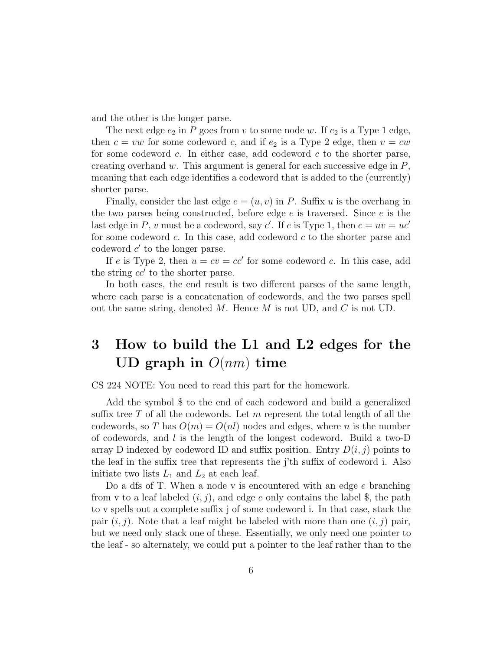and the other is the longer parse.

The next edge  $e_2$  in P goes from v to some node w. If  $e_2$  is a Type 1 edge, then  $c = vw$  for some codeword c, and if  $e_2$  is a Type 2 edge, then  $v = cw$ for some codeword  $c$ . In either case, add codeword  $c$  to the shorter parse, creating overhand w. This argument is general for each successive edge in  $P$ , meaning that each edge identifies a codeword that is added to the (currently) shorter parse.

Finally, consider the last edge  $e = (u, v)$  in P. Suffix u is the overhang in the two parses being constructed, before edge  $e$  is traversed. Since  $e$  is the last edge in P, v must be a codeword, say c'. If e is Type 1, then  $c = uv = uc'$ for some codeword c. In this case, add codeword c to the shorter parse and codeword  $c'$  to the longer parse.

If e is Type 2, then  $u = cv = cc'$  for some codeword c. In this case, add the string  $cc'$  to the shorter parse.

In both cases, the end result is two different parses of the same length, where each parse is a concatenation of codewords, and the two parses spell out the same string, denoted  $M$ . Hence  $M$  is not UD, and  $C$  is not UD.

# 3 How to build the L1 and L2 edges for the UD graph in  $O(nm)$  time

CS 224 NOTE: You need to read this part for the homework.

Add the symbol \$ to the end of each codeword and build a generalized suffix tree T of all the codewords. Let  $m$  represent the total length of all the codewords, so T has  $O(m) = O(nl)$  nodes and edges, where n is the number of codewords, and  $l$  is the length of the longest codeword. Build a two-D array D indexed by codeword ID and suffix position. Entry  $D(i, j)$  points to the leaf in the suffix tree that represents the j'th suffix of codeword i. Also initiate two lists  $L_1$  and  $L_2$  at each leaf.

Do a dfs of T. When a node v is encountered with an edge e branching from v to a leaf labeled  $(i, j)$ , and edge e only contains the label \$, the path to v spells out a complete suffix j of some codeword i. In that case, stack the pair  $(i, j)$ . Note that a leaf might be labeled with more than one  $(i, j)$  pair, but we need only stack one of these. Essentially, we only need one pointer to the leaf - so alternately, we could put a pointer to the leaf rather than to the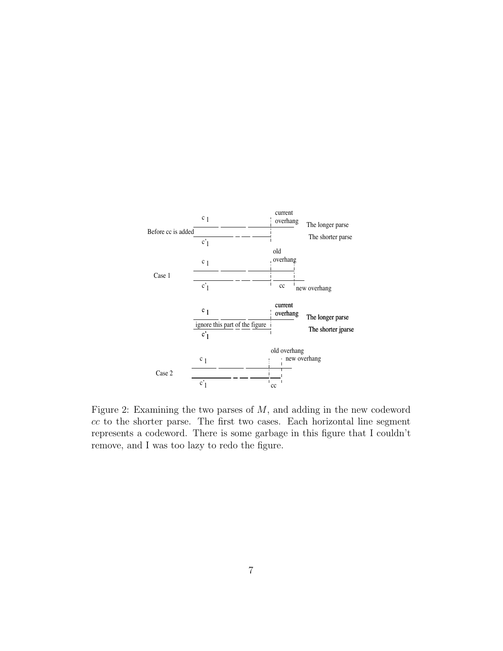

Figure 2: Examining the two parses of M, and adding in the new codeword cc to the shorter parse. The first two cases. Each horizontal line segment represents a codeword. There is some garbage in this figure that I couldn't remove, and I was too lazy to redo the figure.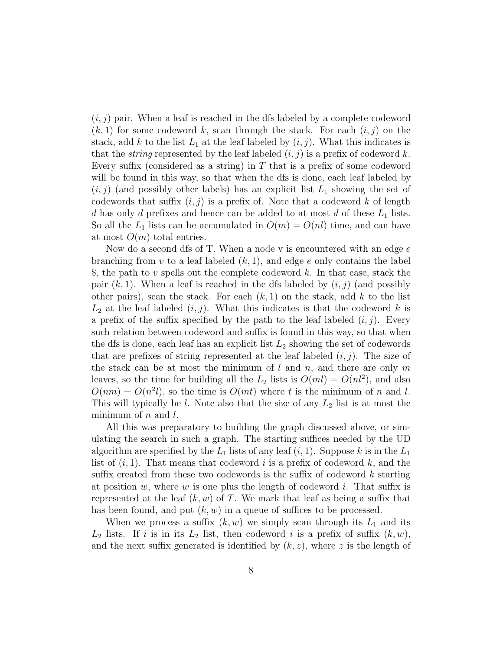$(i, j)$  pair. When a leaf is reached in the dfs labeled by a complete codeword  $(k, 1)$  for some codeword k, scan through the stack. For each  $(i, j)$  on the stack, add k to the list  $L_1$  at the leaf labeled by  $(i, j)$ . What this indicates is that the *string* represented by the leaf labeled  $(i, j)$  is a prefix of codeword k. Every suffix (considered as a string) in  $T$  that is a prefix of some codeword will be found in this way, so that when the dfs is done, each leaf labeled by  $(i, j)$  (and possibly other labels) has an explicit list  $L_1$  showing the set of codewords that suffix  $(i, j)$  is a prefix of. Note that a codeword k of length d has only d prefixes and hence can be added to at most d of these  $L_1$  lists. So all the  $L_1$  lists can be accumulated in  $O(m) = O(nl)$  time, and can have at most  $O(m)$  total entries.

Now do a second dfs of T. When a node v is encountered with an edge  $e$ branching from v to a leaf labeled  $(k, 1)$ , and edge e only contains the label \$, the path to v spells out the complete codeword k. In that case, stack the pair  $(k, 1)$ . When a leaf is reached in the dfs labeled by  $(i, j)$  (and possibly other pairs), scan the stack. For each  $(k, 1)$  on the stack, add k to the list  $L_2$  at the leaf labeled  $(i, j)$ . What this indicates is that the codeword k is a prefix of the suffix specified by the path to the leaf labeled  $(i, j)$ . Every such relation between codeword and suffix is found in this way, so that when the dfs is done, each leaf has an explicit list  $L_2$  showing the set of codewords that are prefixes of string represented at the leaf labeled  $(i, j)$ . The size of the stack can be at most the minimum of  $l$  and  $n$ , and there are only  $m$ leaves, so the time for building all the  $L_2$  lists is  $O(ml) = O(nl^2)$ , and also  $O(nm) = O(n^2l)$ , so the time is  $O(mt)$  where t is the minimum of n and l. This will typically be  $l$ . Note also that the size of any  $L_2$  list is at most the minimum of  $n$  and  $l$ .

All this was preparatory to building the graph discussed above, or simulating the search in such a graph. The starting suffices needed by the UD algorithm are specified by the  $L_1$  lists of any leaf  $(i, 1)$ . Suppose k is in the  $L_1$ list of  $(i, 1)$ . That means that codeword i is a prefix of codeword k, and the suffix created from these two codewords is the suffix of codeword  $k$  starting at position w, where w is one plus the length of codeword i. That suffix is represented at the leaf  $(k, w)$  of T. We mark that leaf as being a suffix that has been found, and put  $(k, w)$  in a queue of suffices to be processed.

When we process a suffix  $(k, w)$  we simply scan through its  $L_1$  and its  $L_2$  lists. If i is in its  $L_2$  list, then codeword i is a prefix of suffix  $(k, w)$ , and the next suffix generated is identified by  $(k, z)$ , where z is the length of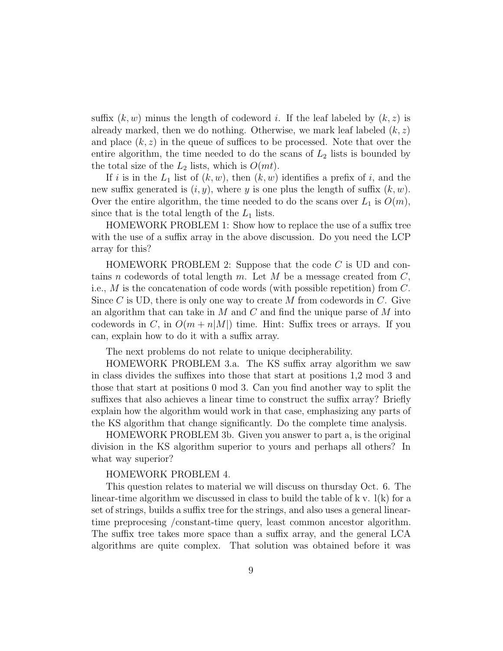suffix  $(k, w)$  minus the length of codeword i. If the leaf labeled by  $(k, z)$  is already marked, then we do nothing. Otherwise, we mark leaf labeled  $(k, z)$ and place  $(k, z)$  in the queue of suffices to be processed. Note that over the entire algorithm, the time needed to do the scans of  $L_2$  lists is bounded by the total size of the  $L_2$  lists, which is  $O(mt)$ .

If i is in the  $L_1$  list of  $(k, w)$ , then  $(k, w)$  identifies a prefix of i, and the new suffix generated is  $(i, y)$ , where y is one plus the length of suffix  $(k, w)$ . Over the entire algorithm, the time needed to do the scans over  $L_1$  is  $O(m)$ , since that is the total length of the  $L_1$  lists.

HOMEWORK PROBLEM 1: Show how to replace the use of a suffix tree with the use of a suffix array in the above discussion. Do you need the LCP array for this?

HOMEWORK PROBLEM 2: Suppose that the code  $C$  is UD and contains n codewords of total length m. Let M be a message created from  $C$ , i.e., M is the concatenation of code words (with possible repetition) from C. Since C is UD, there is only one way to create M from codewords in C. Give an algorithm that can take in  $M$  and  $C$  and find the unique parse of  $M$  into codewords in C, in  $O(m + n|M|)$  time. Hint: Suffix trees or arrays. If you can, explain how to do it with a suffix array.

The next problems do not relate to unique decipherability.

HOMEWORK PROBLEM 3.a. The KS suffix array algorithm we saw in class divides the suffixes into those that start at positions 1,2 mod 3 and those that start at positions 0 mod 3. Can you find another way to split the suffixes that also achieves a linear time to construct the suffix array? Briefly explain how the algorithm would work in that case, emphasizing any parts of the KS algorithm that change significantly. Do the complete time analysis.

HOMEWORK PROBLEM 3b. Given you answer to part a, is the original division in the KS algorithm superior to yours and perhaps all others? In what way superior?

### HOMEWORK PROBLEM 4.

This question relates to material we will discuss on thursday Oct. 6. The linear-time algorithm we discussed in class to build the table of  $k \nu$ .  $l(k)$  for a set of strings, builds a suffix tree for the strings, and also uses a general lineartime preprocesing /constant-time query, least common ancestor algorithm. The suffix tree takes more space than a suffix array, and the general LCA algorithms are quite complex. That solution was obtained before it was